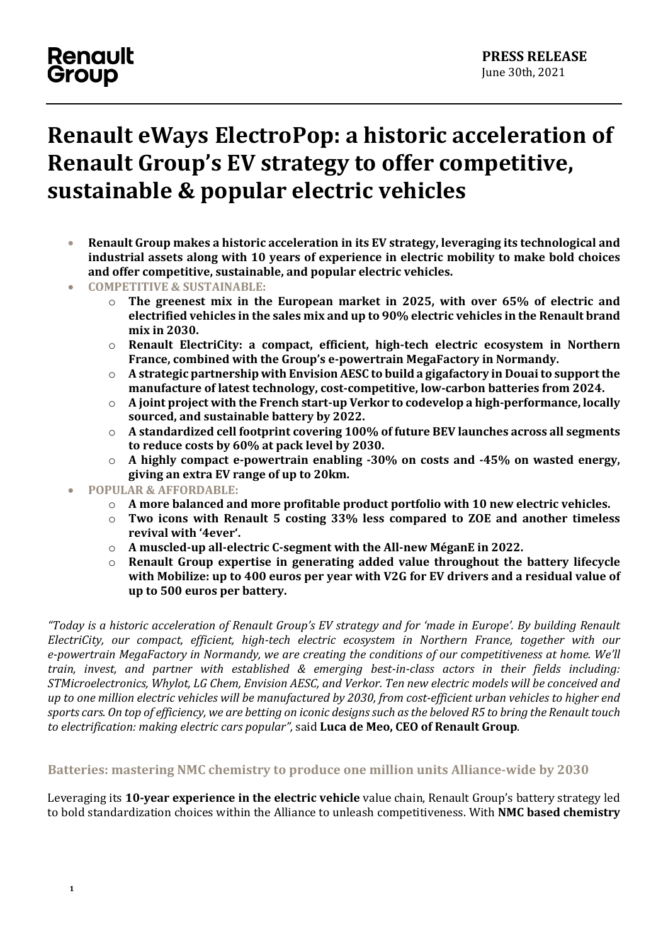# **Renault eWays ElectroPop: a historic acceleration of Renault Group's EV strategy to offer competitive, sustainable & popular electric vehicles**

- **Renault Group makes a historic acceleration in its EV strategy, leveraging its technological and industrial assets along with 10 years of experience in electric mobility to make bold choices and offer competitive, sustainable, and popular electric vehicles.**
- **COMPETITIVE & SUSTAINABLE:** 
	- o **The greenest mix in the European market in 2025, with over 65% of electric and electrified vehicles in the sales mix and up to 90% electric vehicles in the Renault brand mix in 2030.**
	- o **Renault ElectriCity: a compact, efficient, high-tech electric ecosystem in Northern France, combined with the Group's e-powertrain MegaFactory in Normandy.**
	- o **A strategic partnership with Envision AESC to build a gigafactory in Douaito support the manufacture of latest technology, cost-competitive, low-carbon batteries from 2024.**
	- o **A joint project with the French start-up Verkor to codevelop a high-performance, locally sourced, and sustainable battery by 2022.**
	- o **A standardized cell footprint covering 100% of future BEV launches across all segments to reduce costs by 60% at pack level by 2030.**
	- o **A highly compact e-powertrain enabling -30% on costs and -45% on wasted energy, giving an extra EV range of up to 20km.**
- **POPULAR & AFFORDABLE:** 
	- o **A more balanced and more profitable product portfolio with 10 new electric vehicles.**
	- o **Two icons with Renault 5 costing 33% less compared to ZOE and another timeless revival with '4ever'.**
	- o **A muscled-up all-electric C-segment with the All-new MéganE in 2022.**
	- o **Renault Group expertise in generating added value throughout the battery lifecycle with Mobilize: up to 400 euros per year with V2G for EV drivers and a residual value of up to 500 euros per battery.**

*"Today is a historic acceleration of Renault Group's EV strategy and for 'made in Europe'. By building Renault ElectriCity, our compact, efficient, high-tech electric ecosystem in Northern France, together with our e-powertrain MegaFactory in Normandy, we are creating the conditions of our competitiveness at home. We'll train, invest, and partner with established & emerging best-in-class actors in their fields including: STMicroelectronics, Whylot, LG Chem, Envision AESC, and Verkor. Ten new electric models will be conceived and up to one million electric vehicles will be manufactured by 2030, from cost-efficient urban vehicles to higher end sports cars. On top of efficiency, we are betting on iconic designs such as the beloved R5 to bring the Renault touch to electrification: making electric cars popular",* said **Luca de Meo, CEO of Renault Group**.

#### **Batteries: mastering NMC chemistry to produce one million units Alliance-wide by 2030**

Leveraging its **10-year experience in the electric vehicle** value chain, Renault Group's battery strategy led to bold standardization choices within the Alliance to unleash competitiveness. With **NMC based chemistry**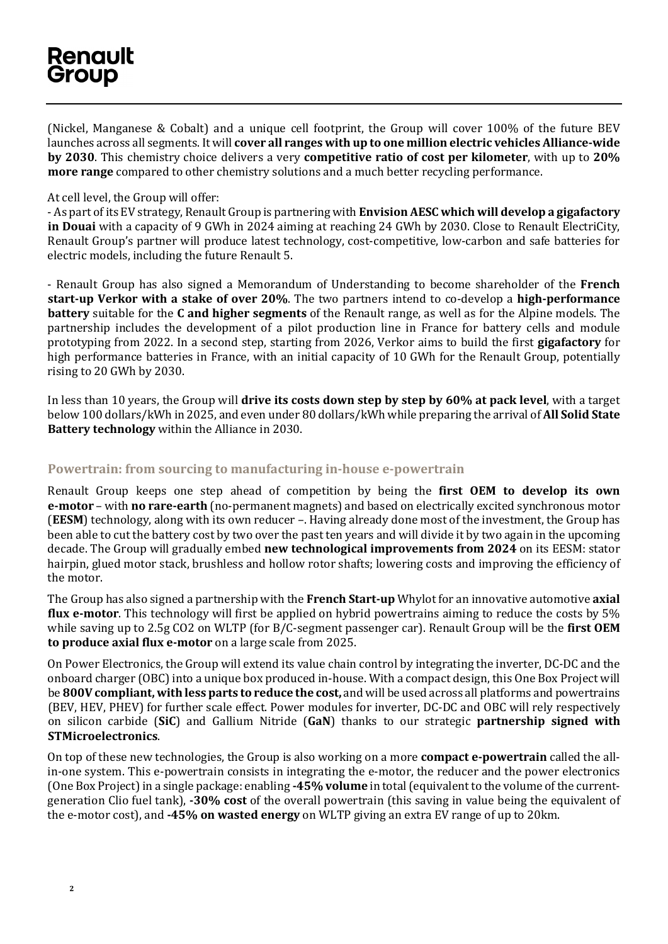(Nickel, Manganese & Cobalt) and a unique cell footprint, the Group will cover 100% of the future BEV launches across all segments. It will **cover all ranges with up to one million electric vehicles Alliance-wide by 2030**. This chemistry choice delivers a very **competitive ratio of cost per kilometer**, with up to **20% more range** compared to other chemistry solutions and a much better recycling performance.

#### At cell level, the Group will offer:

- As part of its EV strategy, Renault Group is partnering with **Envision AESC which will develop a gigafactory in Douai** with a capacity of 9 GWh in 2024 aiming at reaching 24 GWh by 2030. Close to Renault ElectriCity, Renault Group's partner will produce latest technology, cost-competitive, low-carbon and safe batteries for electric models, including the future Renault 5.

- Renault Group has also signed a Memorandum of Understanding to become shareholder of the **French start-up Verkor with a stake of over 20%**. The two partners intend to co-develop a **high-performance battery** suitable for the **C and higher segments** of the Renault range, as well as for the Alpine models. The partnership includes the development of a pilot production line in France for battery cells and module prototyping from 2022. In a second step, starting from 2026, Verkor aims to build the first **gigafactory** for high performance batteries in France, with an initial capacity of 10 GWh for the Renault Group, potentially rising to 20 GWh by 2030.

In less than 10 years, the Group will **drive its costs down step by step by 60% at pack level**, with a target below 100 dollars/kWh in 2025, and even under 80 dollars/kWh while preparing the arrival of **All Solid State Battery technology** within the Alliance in 2030.

#### **Powertrain: from sourcing to manufacturing in-house e-powertrain**

Renault Group keeps one step ahead of competition by being the **first OEM to develop its own e-motor** – with **no rare-earth** (no-permanent magnets) and based on electrically excited synchronous motor (**EESM**) technology, along with its own reducer –. Having already done most of the investment, the Group has been able to cut the battery cost by two over the past ten years and will divide it by two again in the upcoming decade. The Group will gradually embed **new technological improvements from 2024** on its EESM: stator hairpin, glued motor stack, brushless and hollow rotor shafts; lowering costs and improving the efficiency of the motor.

The Group has also signed a partnership with the **French Start-up** Whylot for an innovative automotive **axial flux e-motor**. This technology will first be applied on hybrid powertrains aiming to reduce the costs by 5% while saving up to 2.5g CO2 on WLTP (for B/C-segment passenger car). Renault Group will be the **first OEM to produce axial flux e-motor** on a large scale from 2025.

On Power Electronics, the Group will extend its value chain control by integrating the inverter, DC-DC and the onboard charger (OBC) into a unique box produced in-house. With a compact design, this One Box Project will be **800V compliant, with less parts to reduce the cost,** and will be used across all platforms and powertrains (BEV, HEV, PHEV) for further scale effect. Power modules for inverter, DC-DC and OBC will rely respectively on silicon carbide (**SiC**) and Gallium Nitride (**GaN**) thanks to our strategic **partnership signed with STMicroelectronics**.

On top of these new technologies, the Group is also working on a more **compact e-powertrain** called the allin-one system. This e-powertrain consists in integrating the e-motor, the reducer and the power electronics (One Box Project)in a single package: enabling **-45% volume** in total (equivalent to the volume of the currentgeneration Clio fuel tank), **-30% cost** of the overall powertrain (this saving in value being the equivalent of the e-motor cost), and **-45% on wasted energy** on WLTP giving an extra EV range of up to 20km.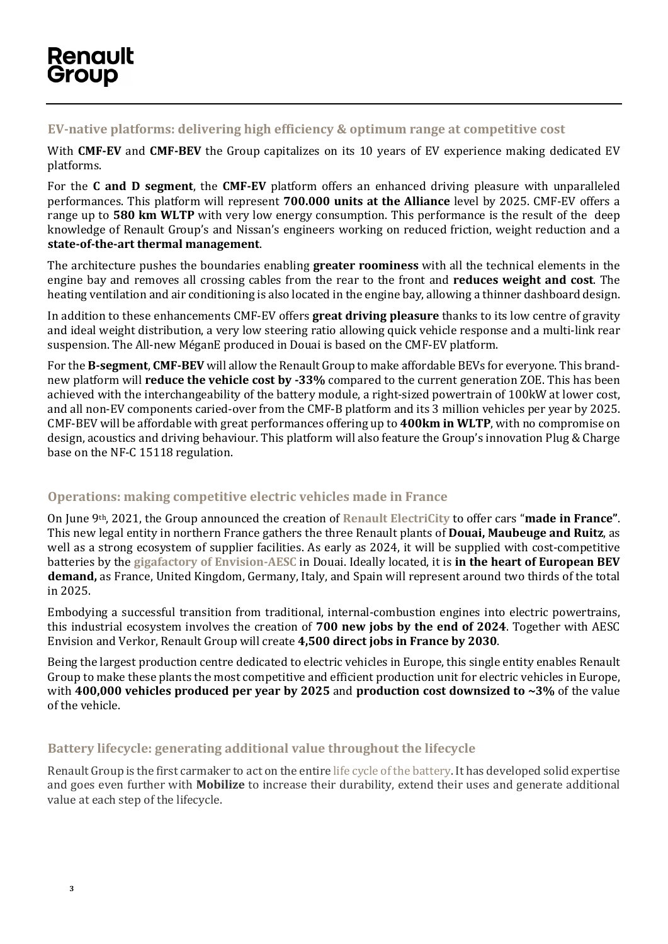### **EV-native platforms: delivering high efficiency & optimum range at competitive cost**

With **CMF-EV** and **CMF-BEV** the Group capitalizes on its 10 years of EV experience making dedicated EV platforms.

For the **C and D segment**, the **CMF-EV** platform offers an enhanced driving pleasure with unparalleled performances. This platform will represent **700.000 units at the Alliance** level by 2025. CMF-EV offers a range up to **580 km WLTP** with very low energy consumption. This performance is the result of the deep knowledge of Renault Group's and Nissan's engineers working on reduced friction, weight reduction and a **state-of-the-art thermal management**.

The architecture pushes the boundaries enabling **greater roominess** with all the technical elements in the engine bay and removes all crossing cables from the rear to the front and **reduces weight and cost**. The heating ventilation and air conditioning is also located in the engine bay, allowing a thinner dashboard design.

In addition to these enhancements CMF-EV offers **great driving pleasure** thanks to its low centre of gravity and ideal weight distribution, a very low steering ratio allowing quick vehicle response and a multi-link rear suspension. The All-new MéganE produced in Douai is based on the CMF-EV platform.

For the **B-segment**, **CMF-BEV** will allow the Renault Group to make affordable BEVs for everyone. This brandnew platform will **reduce the vehicle cost by -33%** compared to the current generation ZOE. This has been achieved with the interchangeability of the battery module, a right-sized powertrain of 100kW at lower cost, and all non-EV components caried-over from the CMF-B platform and its 3 million vehicles per year by 2025. CMF-BEV will be affordable with great performances offering up to **400km in WLTP**, with no compromise on design, acoustics and driving behaviour. This platform will also feature the Group's innovation Plug & Charge base on the NF-C 15118 regulation.

#### **Operations: making competitive electric vehicles made in France**

On June 9th, 2021, the Group announced the creation of **[Renault ElectriCity](https://en.media.renaultgroup.com/news/renault-group-creates-renault-electricity-the-electric-industrial-pole-of-northern-france-0557-989c5.html)** to offer cars "**made in France"**. This new legal entity in northern France gathers the three Renault plants of **Douai, Maubeuge and Ruitz**, as well as a strong ecosystem of supplier facilities. As early as 2024, it will be supplied with cost-competitive batteries by the **gigafactory of [Envision-AESC](https://en.media.renaultgroup.com/news/renault-group-places-france-at-the-heart-of-its-industrial-strategy-for-ev-batteries-55b2-989c5.html)** in Douai. Ideally located, it is **in the heart of European BEV demand,** as France, United Kingdom, Germany, Italy, and Spain will represent around two thirds of the total in 2025.

Embodying a successful transition from traditional, internal-combustion engines into electric powertrains, this industrial ecosystem involves the creation of **700 new jobs by the end of 2024**. Together with AESC Envision and Verkor, Renault Group will create **4,500 direct jobs in France by 2030**.

Being the largest production centre dedicated to electric vehicles in Europe, this single entity enables Renault Group to make these plants the most competitive and efficient production unit for electric vehicles in Europe, with **400,000 vehicles produced per year by 2025** and **production cost downsized to ~3%** of the value of the vehicle.

### **Battery lifecycle: generating additional value throughout the lifecycle**

Renault Group is the first carmaker to act on the entir[e life cycle of the battery.](https://www.renaultgroup.com/infographie-interactive/en/) It has developed solid expertise and goes even further with **Mobilize** to increase their durability, extend their uses and generate additional value at each step of the lifecycle.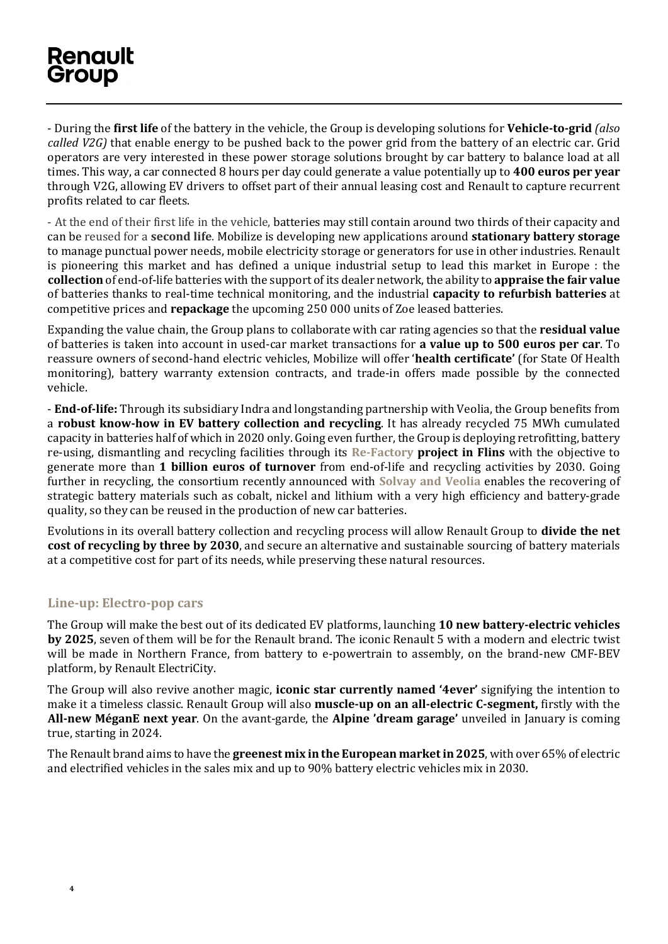- During the **first life** of the battery in the vehicle, the Group is developing solutions for **Vehicle-to-grid** *(also called V2G)* that enable energy to be pushed back to the power grid from the battery of an electric car. Grid operators are very interested in these power storage solutions brought by car battery to balance load at all times. This way, a car connected 8 hours per day could generate a value potentially up to **400 euros per year**  through V2G, allowing EV drivers to offset part of their annual leasing cost and Renault to capture recurrent profits related to car fleets.

- At the end of their first life in the vehicle, batteries may still contain around two thirds of their capacity and can be reused for a **second life**. Mobilize is developing new applications around **stationary battery storage** to manage punctual power needs, mobile electricity storage or generators for use in other industries. Renault is pioneering this market and has defined a unique industrial setup to lead this market in Europe : the **collection** of end-of-life batteries with the support of its dealer network, the ability to **appraise the fair value** of batteries thanks to real-time technical monitoring, and the industrial **capacity to refurbish batteries** at competitive prices and **repackage** the upcoming 250 000 units of Zoe leased batteries.

Expanding the value chain, the Group plans to collaborate with car rating agencies so that the **residual value** of batteries is taken into account in used-car market transactions for **a value up to 500 euros per car**. To reassure owners of second-hand electric vehicles, Mobilize will offer '**health certificate'** (for State Of Health monitoring), battery warranty extension contracts, and trade-in offers made possible by the connected vehicle.

- **End-of-life:** Through its subsidiary Indra and longstanding partnership with Veolia, the Group benefits from a **robust know-how in EV battery collection and recycling**. It has already recycled 75 MWh cumulated capacity in batteries half of which in 2020 only. Going even further, the Group is deploying retrofitting, battery re-using, dismantling and recycling facilities through its **[Re-Factory](https://en.media.renaultgroup.com/news/groupe-renault-creates-the-first-european-factory-dedicated-to-the-circular-economy-of-mobility-in-flins-4f79-989c5.html) project in Flins** with the objective to generate more than **1 billion euros of turnover** from end-of-life and recycling activities by 2030. Going further in recycling, the consortium recently announced with **[Solvay and Veolia](https://en.media.renaultgroup.com/news/groupe-renault-veolia-solvay-join-forces-to-recycle-end-of-life-ev-battery-metals-in-a-closed-loop-1564-989c5.html)** enables the recovering of strategic battery materials such as cobalt, nickel and lithium with a very high efficiency and battery-grade quality, so they can be reused in the production of new car batteries.

Evolutions in its overall battery collection and recycling process will allow Renault Group to **divide the net cost of recycling by three by 2030**, and secure an alternative and sustainable sourcing of battery materials at a competitive cost for part of its needs, while preserving these natural resources.

#### **Line-up: Electro-pop cars**

The Group will make the best out of its dedicated EV platforms, launching **10 new battery-electric vehicles by 2025**, seven of them will be for the Renault brand. The iconic Renault 5 with a modern and electric twist will be made in Northern France, from battery to e-powertrain to assembly, on the brand-new CMF-BEV platform, by Renault ElectriCity.

The Group will also revive another magic, **iconic star currently named '4ever'** signifying the intention to make it a timeless classic. Renault Group will also **muscle-up on an all-electric C-segment,** firstly with the **All-new MéganE next year**. On the avant-garde, the **Alpine 'dream garage'** unveiled in January is coming true, starting in 2024.

The Renault brand aims to have the **greenest mix in the European market in 2025**, with over 65% of electric and electrified vehicles in the sales mix and up to 90% battery electric vehicles mix in 2030.